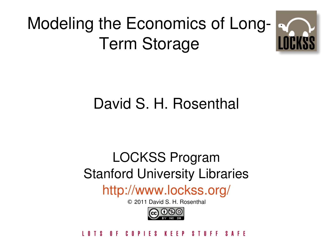#### Modeling the Economics of Long-Term Storage



#### David S. H. Rosenthal

#### LOCKSS Program Stanford University Libraries

#### <http://www.lockss.org/>

© 2011 David S. H. Rosenthal



#### $1 F S$ KEEP  $S$  T  $II$  F F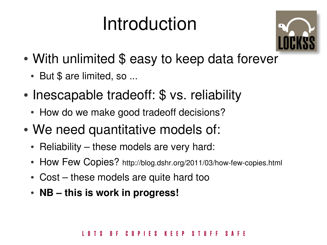#### Introduction



- With unlimited \$ easy to keep data forever
	- But \$ are limited, so ...
- Inescapable tradeoff: \$ vs. reliability
	- How do we make good tradeoff decisions?
- We need quantitative models of:
	- Reliability these models are very hard:
	- How Few Copies? http://blog.dshr.org/2011/03/how-few-copies.html
	- $\bullet$  Cost these models are quite hard too
	- **NB** this is work in progress!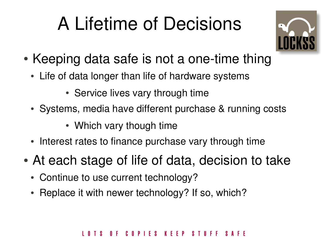### A Lifetime of Decisions



- Keeping data safe is not a one-time thing
	- Life of data longer than life of hardware systems
		- Service lives vary through time
	- Systems, media have different purchase & running costs
		- Which vary though time
	- Interest rates to finance purchase vary through time
- At each stage of life of data, decision to take
	- Continue to use current technology?
	- Replace it with newer technology? If so, which?

#### TS OF COPIES KEEP STUFF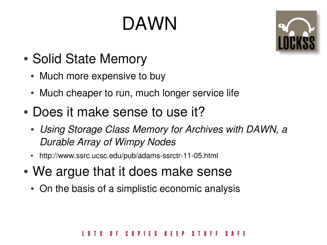# DAWN



- Solid State Memory
	- Much more expensive to buy
	- Much cheaper to run, much longer service life
- Does it make sense to use it?
	- Using Storage Class Memory for Archives with DAWN, a *Durable Array of Wimpy Nodes*
	- http://www.ssrc.ucsc.edu/pub/adams-ssrctr-11-05.html
- We argue that it does make sense
	- On the basis of a simplistic economic analysis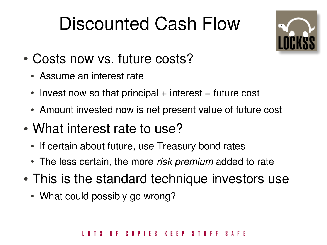### Discounted Cash Flow



- Costs now vs. future costs?
	- Assume an interest rate
	- Invest now so that principal  $+$  interest  $=$  future cost
	- Amount invested now is net present value of future cost
- What interest rate to use?
	- If certain about future, use Treasury bond rates
	- The less certain, the more *risk premium* added to rate
- This is the standard technique investors use
	- What could possibly go wrong?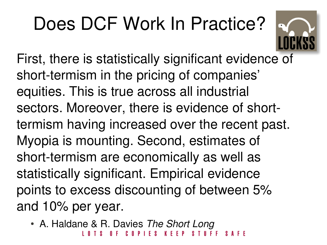# Does DCF Work In Practice?



First, there is statistically significant evidence of short-termism in the pricing of companies' equities. This is true across all industrial sectors. Moreover, there is evidence of shorttermism having increased over the recent past. Myopia is mounting. Second, estimates of short-termism are economically as well as statistically significant. Empirical evidence points to excess discounting of between 5% and 10% per year.

● A. Haldane & R. Davies *The Short Long*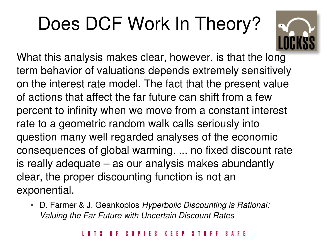# Does DCF Work In Theory?



What this analysis makes clear, however, is that the long term behavior of valuations depends extremely sensitively on the interest rate model. The fact that the present value of actions that affect the far future can shift from a few percent to infinity when we move from a constant interest rate to a geometric random walk calls seriously into question many well regarded analyses of the economic consequences of global warming. ... no fixed discount rate is really adequate – as our analysis makes abundantly clear, the proper discounting function is not an exponential.

● D. Farmer & J. Geankoplos *Hyperbolic Discounting is Rational: Valuing the Far Future with Uncertain Discount Rates*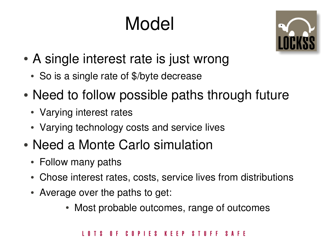## Model



- A single interest rate is just wrong
	- So is a single rate of \$/byte decrease
- Need to follow possible paths through future
	- Varying interest rates
	- Varying technology costs and service lives
- Need a Monte Carlo simulation
	- Follow many paths
	- Chose interest rates, costs, service lives from distributions
	- Average over the paths to get:
		- Most probable outcomes, range of outcomes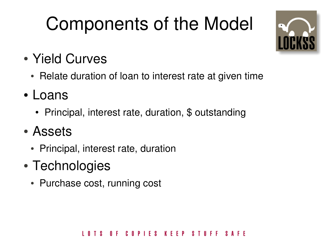## Components of the Model



- Yield Curves
	- Relate duration of loan to interest rate at given time
- Loans
	- Principal, interest rate, duration, \$ outstanding
- Assets
	- Principal, interest rate, duration
- Technologies
	- Purchase cost, running cost

#### COPIES KEEP STUFF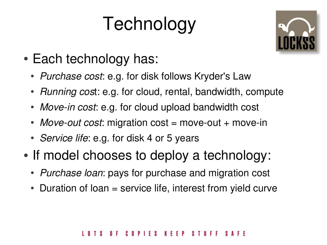### Technology



- Each technology has:
	- *Purchase cost*: e.g. for disk follows Kryder's Law
	- *Running cost: e.g. for cloud, rental, bandwidth, compute*
	- Move-in cost: e.g. for cloud upload bandwidth cost
	- *Move-out cost*: migration cost = move-out + move-in
	- *Service life*: e.g. for disk 4 or 5 years
- If model chooses to deploy a technology:
	- *Purchase loan*: pays for purchase and migration cost
	- $\bullet$  Duration of loan = service life, interest from yield curve

#### COPIES KEEP **STILFF**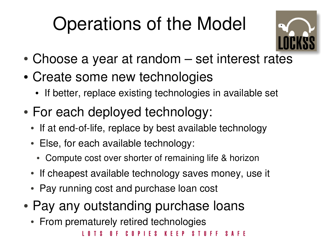## Operations of the Model



- Choose a year at random set interest rates
- Create some new technologies
	- If better, replace existing technologies in available set
- For each deployed technology:
	- If at end-of-life, replace by best available technology
	- Else, for each available technology:
		- Compute cost over shorter of remaining life & horizon
	- If cheapest available technology saves money, use it
	- Pay running cost and purchase loan cost
- Pay any outstanding purchase loans
	- From prematurely retired technologies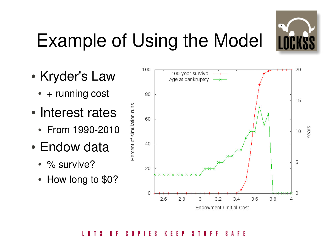

## Example of Using the Model

- Kryder's Law
	- $\cdot$  + running cost
- Interest rates
	- From 1990-2010
- Endow data
	- % survive?
	- How long to \$0?

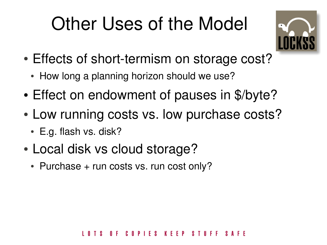### Other Uses of the Model



- Effects of short-termism on storage cost?
	- How long a planning horizon should we use?
- Effect on endowment of pauses in \$/byte?
- Low running costs vs. low purchase costs?
	- $\cdot$  E.g. flash vs. disk?
- Local disk vs cloud storage?
	- Purchase + run costs vs. run cost only?